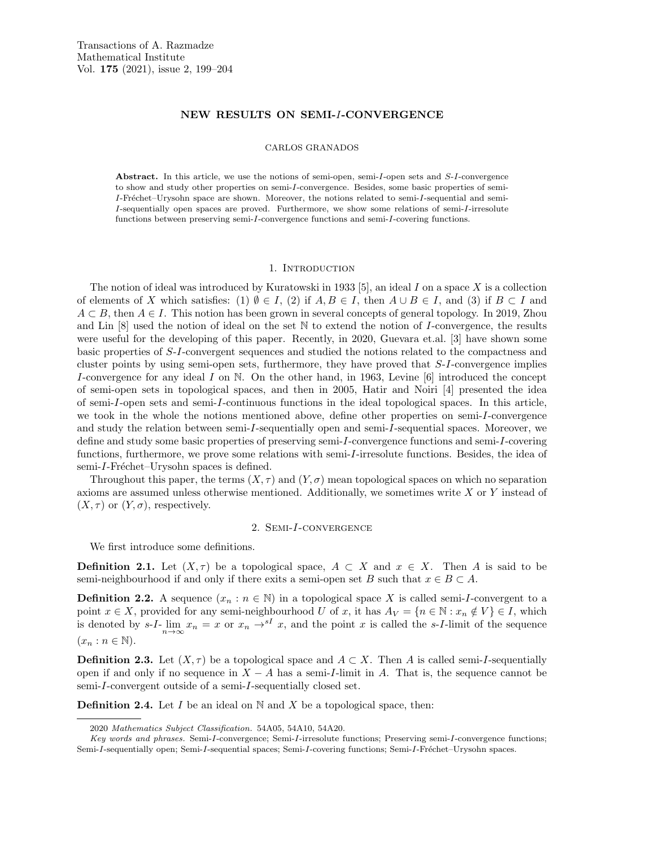# NEW RESULTS ON SEMI-I-CONVERGENCE

#### CARLOS GRANADOS

Abstract. In this article, we use the notions of semi-open, semi-I-open sets and S-I-convergence to show and study other properties on semi-I-convergence. Besides, some basic properties of semi-I-Fréchet–Urysohn space are shown. Moreover, the notions related to semi-I-sequential and semi-I-sequentially open spaces are proved. Furthermore, we show some relations of semi-I-irresolute functions between preserving semi-I-convergence functions and semi-I-covering functions.

#### 1. Introduction

The notion of ideal was introduced by Kuratowski in 1933 [5], an ideal I on a space X is a collection of elements of X which satisfies: (1)  $\emptyset \in I$ , (2) if  $A, B \in I$ , then  $A \cup B \in I$ , and (3) if  $B \subset I$  and  $A \subset B$ , then  $A \in I$ . This notion has been grown in several concepts of general topology. In 2019, Zhou and Lin [8] used the notion of ideal on the set N to extend the notion of I-convergence, the results were useful for the developing of this paper. Recently, in 2020, Guevara et.al. [3] have shown some basic properties of S-I-convergent sequences and studied the notions related to the compactness and cluster points by using semi-open sets, furthermore, they have proved that S-I-convergence implies I-convergence for any ideal I on  $\mathbb N$ . On the other hand, in 1963, Levine [6] introduced the concept of semi-open sets in topological spaces, and then in 2005, Hatir and Noiri [4] presented the idea of semi-I-open sets and semi-I-continuous functions in the ideal topological spaces. In this article, we took in the whole the notions mentioned above, define other properties on semi-I-convergence and study the relation between semi-I-sequentially open and semi-I-sequential spaces. Moreover, we define and study some basic properties of preserving semi-I-convergence functions and semi-I-covering functions, furthermore, we prove some relations with semi-I-irresolute functions. Besides, the idea of semi-I-Fréchet–Urysohn spaces is defined.

Throughout this paper, the terms  $(X, \tau)$  and  $(Y, \sigma)$  mean topological spaces on which no separation axioms are assumed unless otherwise mentioned. Additionally, we sometimes write X or Y instead of  $(X, \tau)$  or  $(Y, \sigma)$ , respectively.

# 2. Semi-I-convergence

We first introduce some definitions.

**Definition 2.1.** Let  $(X, \tau)$  be a topological space,  $A \subset X$  and  $x \in X$ . Then A is said to be semi-neighbourhood if and only if there exits a semi-open set B such that  $x \in B \subset A$ .

**Definition 2.2.** A sequence  $(x_n : n \in \mathbb{N})$  in a topological space X is called semi-I-convergent to a point  $x \in X$ , provided for any semi-neighbourhood U of x, it has  $A_V = \{n \in \mathbb{N} : x_n \notin V\} \in I$ , which is denoted by  $s-I-\lim_{n\to\infty}x_n=x$  or  $x_n\to sI$  x, and the point x is called the s-I-limit of the sequence  $(x_n : n \in \mathbb{N}).$ 

**Definition 2.3.** Let  $(X, \tau)$  be a topological space and  $A \subset X$ . Then A is called semi-I-sequentially open if and only if no sequence in  $X - A$  has a semi-I-limit in A. That is, the sequence cannot be semi-I-convergent outside of a semi-I-sequentially closed set.

**Definition 2.4.** Let I be an ideal on  $\mathbb N$  and X be a topological space, then:

<sup>2020</sup> Mathematics Subject Classification. 54A05, 54A10, 54A20.

Key words and phrases. Semi-I-convergence; Semi-I-irresolute functions; Preserving semi-I-convergence functions; Semi-I-sequentially open; Semi-I-sequential spaces; Semi-I-covering functions; Semi-I-Fréchet–Urysohn spaces.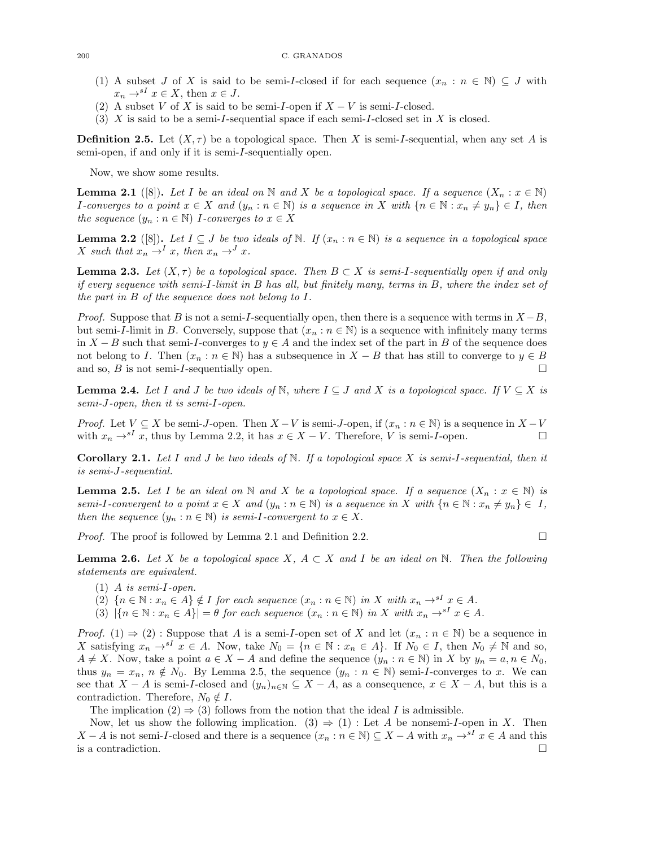- (1) A subset J of X is said to be semi-I-closed if for each sequence  $(x_n : n \in \mathbb{N}) \subseteq J$  with  $x_n \rightarrow^{s} X \in X$ , then  $x \in J$ .
- (2) A subset V of X is said to be semi-I-open if  $X V$  is semi-I-closed.
- (3)  $X$  is said to be a semi-I-sequential space if each semi-I-closed set in  $X$  is closed.

**Definition 2.5.** Let  $(X, \tau)$  be a topological space. Then X is semi-I-sequential, when any set A is semi-open, if and only if it is semi-I-sequentially open.

Now, we show some results.

**Lemma 2.1** ([8]). Let I be an ideal on N and X be a topological space. If a sequence  $(X_n : x \in \mathbb{N})$ *I*-converges to a point  $x \in X$  and  $(y_n : n \in \mathbb{N})$  is a sequence in X with  $\{n \in \mathbb{N} : x_n \neq y_n\} \in I$ , then the sequence  $(y_n : n \in \mathbb{N})$  I-converges to  $x \in X$ 

**Lemma 2.2** ([8]). Let  $I \subseteq J$  be two ideals of  $\mathbb N$ . If  $(x_n : n \in \mathbb N)$  is a sequence in a topological space X such that  $x_n \stackrel{\sim}{\rightarrow}^I x$ , then  $x_n \rightarrow^J x$ .

**Lemma 2.3.** Let  $(X, \tau)$  be a topological space. Then  $B \subset X$  is semi-I-sequentially open if and only if every sequence with semi-I-limit in B has all, but finitely many, terms in B, where the index set of the part in B of the sequence does not belong to I.

*Proof.* Suppose that B is not a semi-I-sequentially open, then there is a sequence with terms in  $X - B$ , but semi-I-limit in B. Conversely, suppose that  $(x_n : n \in \mathbb{N})$  is a sequence with infinitely many terms in  $X - B$  such that semi-I-converges to  $y \in A$  and the index set of the part in B of the sequence does not belong to I. Then  $(x_n : n \in \mathbb{N})$  has a subsequence in  $X - B$  that has still to converge to  $y \in B$ and so,  $B$  is not semi-I-sequentially open.

**Lemma 2.4.** Let I and J be two ideals of N, where  $I \subseteq J$  and X is a topological space. If  $V \subseteq X$  is semi-J-open, then it is semi-I-open.

*Proof.* Let  $V \subseteq X$  be semi-J-open. Then  $X - V$  is semi-J-open, if  $(x_n : n \in \mathbb{N})$  is a sequence in  $X - V$ with  $x_n \to s^I x$ , thus by Lemma 2.2, it has  $x \in X - V$ . Therefore, V is semi-I-open.

**Corollary 2.1.** Let I and J be two ideals of N. If a topological space X is semi-I-sequential, then it is semi-J-sequential.

**Lemma 2.5.** Let I be an ideal on N and X be a topological space. If a sequence  $(X_n : x \in \mathbb{N})$  is semi-I-convergent to a point  $x \in X$  and  $(y_n : n \in \mathbb{N})$  is a sequence in X with  $\{n \in \mathbb{N} : x_n \neq y_n\} \in I$ , then the sequence  $(y_n : n \in \mathbb{N})$  is semi-I-convergent to  $x \in X$ .

*Proof.* The proof is followed by Lemma 2.1 and Definition 2.2.

**Lemma 2.6.** Let X be a topological space X,  $A \subset X$  and I be an ideal on N. Then the following statements are equivalent.

- $(1)$  A is semi-I-open.
- (2)  $\{n \in \mathbb{N} : x_n \in A\} \notin I$  for each sequence  $(x_n : n \in \mathbb{N})$  in X with  $x_n \to^{sI} x \in A$ .
- (3)  $|\{n \in \mathbb{N} : x_n \in A\}| = \theta$  for each sequence  $(x_n : n \in \mathbb{N})$  in X with  $x_n \to s^I x \in A$ .

*Proof.* (1)  $\Rightarrow$  (2) : Suppose that A is a semi-I-open set of X and let  $(x_n : n \in \mathbb{N})$  be a sequence in X satisfying  $x_n \to s^1 x \in A$ . Now, take  $N_0 = \{n \in \mathbb{N} : x_n \in A\}$ . If  $N_0 \in I$ , then  $N_0 \neq \mathbb{N}$  and so,  $A \neq X$ . Now, take a point  $a \in X - A$  and define the sequence  $(y_n : n \in \mathbb{N})$  in X by  $y_n = a, n \in N_0$ , thus  $y_n = x_n$ ,  $n \notin N_0$ . By Lemma 2.5, the sequence  $(y_n : n \in \mathbb{N})$  semi-*I*-converges to x. We can see that  $X - A$  is semi-I-closed and  $(y_n)_{n \in \mathbb{N}} \subseteq X - A$ , as a consequence,  $x \in X - A$ , but this is a contradiction. Therefore,  $N_0 \notin I$ .

The implication (2)  $\Rightarrow$  (3) follows from the notion that the ideal I is admissible.

Now, let us show the following implication. (3)  $\Rightarrow$  (1) : Let A be nonsemi-I-open in X. Then  $X - A$  is not semi-I-closed and there is a sequence  $(x_n : n \in \mathbb{N}) \subseteq X - A$  with  $x_n \to s^I x \in A$  and this is a contradiction.  $\Box$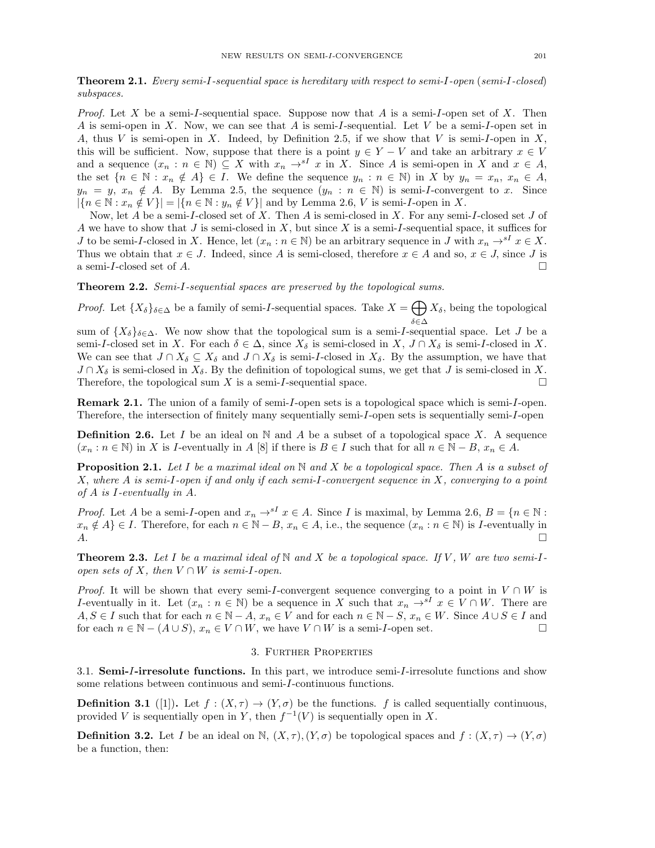Theorem 2.1. Every semi-I-sequential space is hereditary with respect to semi-I-open (semi-I-closed) subspaces.

*Proof.* Let X be a semi-I-sequential space. Suppose now that A is a semi-I-open set of X. Then A is semi-open in X. Now, we can see that A is semi-I-sequential. Let V be a semi-I-open set in A, thus V is semi-open in X. Indeed, by Definition 2.5, if we show that V is semi-I-open in X, this will be sufficient. Now, suppose that there is a point  $y \in Y - V$  and take an arbitrary  $x \in V$ and a sequence  $(x_n : n \in \mathbb{N}) \subseteq X$  with  $x_n \to^{sI} x$  in X. Since A is semi-open in X and  $x \in A$ , the set  ${n \in \mathbb{N} : x_n \notin A} \in I$ . We define the sequence  $y_n : n \in \mathbb{N}$  in X by  $y_n = x_n, x_n \in A$ ,  $y_n = y$ ,  $x_n \notin A$ . By Lemma 2.5, the sequence  $(y_n : n \in \mathbb{N})$  is semi-*I*-convergent to x. Since  $|\{n \in \mathbb{N} : x_n \notin V\}| = |\{n \in \mathbb{N} : y_n \notin V\}|$  and by Lemma 2.6, V is semi-I-open in X.

Now, let A be a semi-I-closed set of X. Then A is semi-closed in X. For any semi-I-closed set J of A we have to show that J is semi-closed in X, but since X is a semi-I-sequential space, it suffices for J to be semi-I-closed in X. Hence, let  $(x_n : n \in \mathbb{N})$  be an arbitrary sequence in J with  $x_n \to^{s} x \in X$ . Thus we obtain that  $x \in J$ . Indeed, since A is semi-closed, therefore  $x \in A$  and so,  $x \in J$ , since J is a semi-I-closed set of A.

Theorem 2.2. Semi-I-sequential spaces are preserved by the topological sums.

*Proof.* Let  ${X_{\delta}}_{\delta \in \Delta}$  be a family of semi-I-sequential spaces. Take  $X = \bigoplus X_{\delta}$ , being the topological δ∈∆ sum of  $\{X_{\delta}\}_{\delta\in\Delta}$ . We now show that the topological sum is a semi-I-sequential space. Let J be a semi-I-closed set in X. For each  $\delta \in \Delta$ , since  $X_{\delta}$  is semi-closed in X,  $J \cap X_{\delta}$  is semi-I-closed in X. We can see that  $J \cap X_{\delta} \subseteq X_{\delta}$  and  $J \cap X_{\delta}$  is semi-I-closed in  $X_{\delta}$ . By the assumption, we have that  $J \cap X_{\delta}$  is semi-closed in  $X_{\delta}$ . By the definition of topological sums, we get that J is semi-closed in X.

Remark 2.1. The union of a family of semi-I-open sets is a topological space which is semi-I-open. Therefore, the intersection of finitely many sequentially semi-I-open sets is sequentially semi-I-open

Therefore, the topological sum X is a semi-I-sequential space.  $\Box$ 

**Definition 2.6.** Let I be an ideal on  $\mathbb N$  and A be a subset of a topological space X. A sequence  $(x_n : n \in \mathbb{N})$  in X is I-eventually in A [8] if there is  $B \in I$  such that for all  $n \in \mathbb{N} - B$ ,  $x_n \in A$ .

**Proposition 2.1.** Let I be a maximal ideal on  $\mathbb N$  and X be a topological space. Then A is a subset of X, where A is semi-I-open if and only if each semi-I-convergent sequence in X, converging to a point of A is I-eventually in A.

*Proof.* Let A be a semi-I-open and  $x_n \to s^I x \in A$ . Since I is maximal, by Lemma 2.6,  $B = \{n \in \mathbb{N} :$  $x_n \notin A$  ∈ I. Therefore, for each  $n \in \mathbb{N} - B$ ,  $x_n \in A$ , i.e., the sequence  $(x_n : n \in \mathbb{N})$  is I-eventually in <br>A.  $A.$ 

**Theorem 2.3.** Let I be a maximal ideal of  $N$  and X be a topological space. If V, W are two semi-Iopen sets of X, then  $V \cap W$  is semi-I-open.

*Proof.* It will be shown that every semi-I-convergent sequence converging to a point in  $V \cap W$  is I-eventually in it. Let  $(x_n : n \in \mathbb{N})$  be a sequence in X such that  $x_n \to^{sI} x \in V \cap W$ . There are  $A, S \in I$  such that for each  $n \in \mathbb{N} - A$ ,  $x_n \in V$  and for each  $n \in \mathbb{N} - S$ ,  $x_n \in W$ . Since  $A \cup S \in I$  and for each  $n \in \mathbb{N}$  –  $(A \cup S)$ ,  $x_n \in V \cap W$ , we have  $V \cap W$  is a semi-*I*-open set.

### 3. Further Properties

3.1. Semi-I-irresolute functions. In this part, we introduce semi-I-irresolute functions and show some relations between continuous and semi-I-continuous functions.

**Definition 3.1** ([1]). Let  $f : (X, \tau) \to (Y, \sigma)$  be the functions. f is called sequentially continuous, provided V is sequentially open in Y, then  $f^{-1}(V)$  is sequentially open in X.

**Definition 3.2.** Let I be an ideal on N,  $(X, \tau)$ ,  $(Y, \sigma)$  be topological spaces and  $f : (X, \tau) \to (Y, \sigma)$ be a function, then: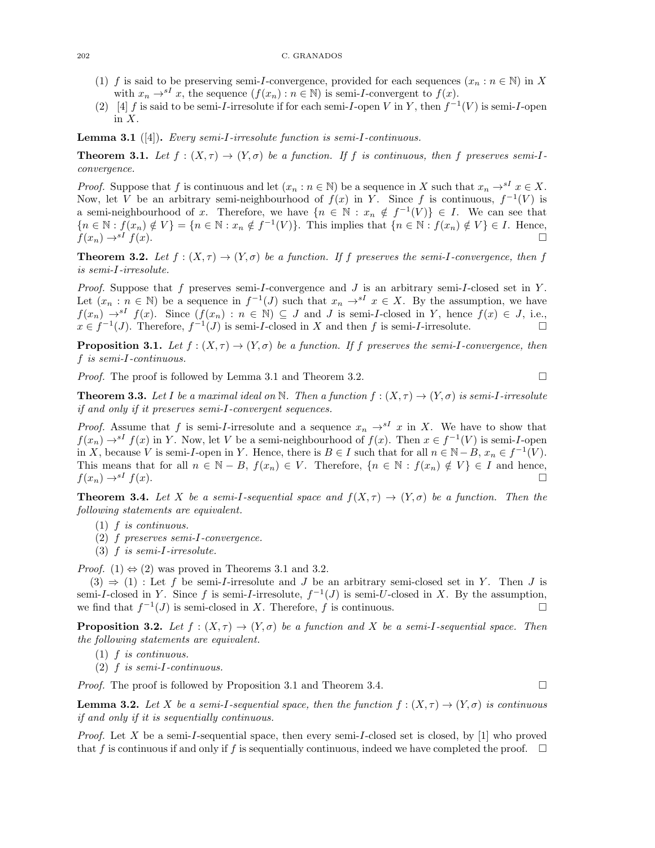- (1) f is said to be preserving semi-I-convergence, provided for each sequences  $(x_n : n \in \mathbb{N})$  in X with  $x_n \to s^I x$ , the sequence  $(f(x_n) : n \in \mathbb{N})$  is semi-*I*-convergent to  $f(x)$ .
- (2) [4] f is said to be semi-I-irresolute if for each semi-I-open V in Y, then  $f^{-1}(V)$  is semi-I-open in  $X$ .

Lemma 3.1 ([4]). Every semi-I-irresolute function is semi-I-continuous.

**Theorem 3.1.** Let  $f : (X, \tau) \to (Y, \sigma)$  be a function. If f is continuous, then f preserves semi-Iconvergence.

*Proof.* Suppose that f is continuous and let  $(x_n : n \in \mathbb{N})$  be a sequence in X such that  $x_n \to^{sI} x \in X$ . Now, let V be an arbitrary semi-neighbourhood of  $f(x)$  in Y. Since f is continuous,  $f^{-1}(V)$  is a semi-neighbourhood of x. Therefore, we have  $\{n \in \mathbb{N} : x_n \notin f^{-1}(V)\} \in I$ . We can see that  ${n \in \mathbb{N} : f(x_n) \notin V} = {n \in \mathbb{N} : x_n \notin f^{-1}(V)}$ . This implies that  ${n \in \mathbb{N} : f(x_n) \notin V} \in I$ . Hence,  $f(x_n) \rightarrow sI$  f(x).

**Theorem 3.2.** Let  $f : (X, \tau) \to (Y, \sigma)$  be a function. If f preserves the semi-I-convergence, then f is semi-I-irresolute.

*Proof.* Suppose that f preserves semi-I-convergence and  $J$  is an arbitrary semi-I-closed set in  $Y$ . Let  $(x_n : n \in \mathbb{N})$  be a sequence in  $f^{-1}(J)$  such that  $x_n \to s^I$   $x \in X$ . By the assumption, we have  $f(x_n) \rightarrow^{s} f(x)$ . Since  $(f(x_n) : n \in \mathbb{N}) \subseteq J$  and J is semi-I-closed in Y, hence  $f(x) \in J$ , i.e.,  $x \in f^{-1}(J)$ . Therefore,  $f^{-1}(J)$  is semi-*I*-closed in X and then f is semi-*I*-irresolute.

**Proposition 3.1.** Let  $f : (X, \tau) \to (Y, \sigma)$  be a function. If f preserves the semi-I-convergence, then f is semi-I-continuous.

*Proof.* The proof is followed by Lemma 3.1 and Theorem 3.2.

**Theorem 3.3.** Let I be a maximal ideal on N. Then a function  $f : (X, \tau) \to (Y, \sigma)$  is semi-I-irresolute if and only if it preserves semi-I-convergent sequences.

*Proof.* Assume that f is semi-I-irresolute and a sequence  $x_n \rightarrow s^I x$  in X. We have to show that  $f(x_n) \to^{s} I f(x)$  in Y. Now, let V be a semi-neighbourhood of  $f(x)$ . Then  $x \in f^{-1}(V)$  is semi-*I*-open in X, because V is semi-I-open in Y. Hence, there is  $B \in I$  such that for all  $n \in \mathbb{N} - B$ ,  $x_n \in f^{-1}(V)$ . This means that for all  $n \in \mathbb{N} - B$ ,  $f(x_n) \in V$ . Therefore,  $\{n \in \mathbb{N} : f(x_n) \notin V\} \in I$  and hence,  $f(x_n) \rightarrow^{s} f(x)$ .

**Theorem 3.4.** Let X be a semi-I-sequential space and  $f(X,\tau) \to (Y,\sigma)$  be a function. Then the following statements are equivalent.

- (1) f is continuous.
- (2) f preserves semi-I-convergence.
- (3) f is semi-I-irresolute.

*Proof.* (1)  $\Leftrightarrow$  (2) was proved in Theorems 3.1 and 3.2.

 $(3) \Rightarrow (1)$ : Let f be semi-*I*-irresolute and J be an arbitrary semi-closed set in Y. Then J is semi-I-closed in Y. Since f is semi-I-irresolute,  $f^{-1}(J)$  is semi-U-closed in X. By the assumption, we find that  $f^{-1}(J)$  is semi-closed in X. Therefore, f is continuous.

**Proposition 3.2.** Let  $f : (X, \tau) \to (Y, \sigma)$  be a function and X be a semi-I-sequential space. Then the following statements are equivalent.

- (1) f is continuous.
- (2) f is semi-I-continuous.

*Proof.* The proof is followed by Proposition 3.1 and Theorem 3.4.

**Lemma 3.2.** Let X be a semi-I-sequential space, then the function  $f : (X, \tau) \to (Y, \sigma)$  is continuous if and only if it is sequentially continuous.

*Proof.* Let X be a semi-I-sequential space, then every semi-I-closed set is closed, by  $[1]$  who proved that f is continuous if and only if f is sequentially continuous, indeed we have completed the proof.  $\Box$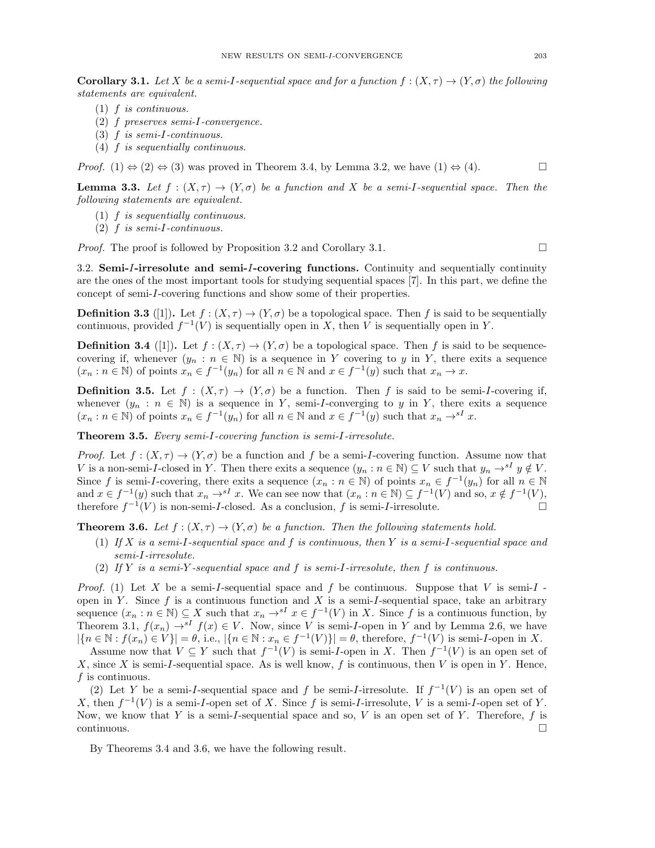**Corollary 3.1.** Let X be a semi-I-sequential space and for a function  $f : (X, \tau) \to (Y, \sigma)$  the following statements are equivalent.

- (1) f is continuous.
- (2) f preserves semi-I-convergence.
- (3) f is semi-I-continuous.
- (4) f is sequentially continuous.

*Proof.* (1)  $\Leftrightarrow$  (2)  $\Leftrightarrow$  (3) was proved in Theorem 3.4, by Lemma 3.2, we have (1)  $\Leftrightarrow$  (4).

**Lemma 3.3.** Let  $f : (X, \tau) \to (Y, \sigma)$  be a function and X be a semi-I-sequential space. Then the following statements are equivalent.

- (1) f is sequentially continuous.
- (2) f is semi-I-continuous.

*Proof.* The proof is followed by Proposition 3.2 and Corollary 3.1.

3.2. Semi-I-irresolute and semi-I-covering functions. Continuity and sequentially continuity are the ones of the most important tools for studying sequential spaces [7]. In this part, we define the concept of semi-I-covering functions and show some of their properties.

**Definition 3.3** ([1]). Let  $f : (X, \tau) \to (Y, \sigma)$  be a topological space. Then f is said to be sequentially continuous, provided  $f^{-1}(V)$  is sequentially open in X, then V is sequentially open in Y.

**Definition 3.4** ([1]). Let  $f : (X, \tau) \to (Y, \sigma)$  be a topological space. Then f is said to be sequencecovering if, whenever  $(y_n : n \in \mathbb{N})$  is a sequence in Y covering to y in Y, there exits a sequence  $(x_n : n \in \mathbb{N})$  of points  $x_n \in f^{-1}(y_n)$  for all  $n \in \mathbb{N}$  and  $x \in f^{-1}(y)$  such that  $x_n \to x$ .

**Definition 3.5.** Let  $f : (X, \tau) \to (Y, \sigma)$  be a function. Then f is said to be semi-I-covering if, whenever  $(y_n : n \in \mathbb{N})$  is a sequence in Y, semi-*I*-converging to y in Y, there exits a sequence  $(x_n : n \in \mathbb{N})$  of points  $x_n \in f^{-1}(y_n)$  for all  $n \in \mathbb{N}$  and  $x \in f^{-1}(y)$  such that  $x_n \to s^I x$ .

Theorem 3.5. Every semi-I-covering function is semi-I-irresolute.

*Proof.* Let  $f : (X, \tau) \to (Y, \sigma)$  be a function and f be a semi-I-covering function. Assume now that V is a non-semi-I-closed in Y. Then there exits a sequence  $(y_n : n \in \mathbb{N}) \subseteq V$  such that  $y_n \to^{s} y \notin V$ . Since f is semi-I-covering, there exits a sequence  $(x_n : n \in \mathbb{N})$  of points  $x_n \in f^{-1}(y_n)$  for all  $n \in \mathbb{N}$ and  $x \in f^{-1}(y)$  such that  $x_n \to^{sI} x$ . We can see now that  $(x_n : n \in \mathbb{N}) \subseteq f^{-1}(V)$  and so,  $x \notin f^{-1}(V)$ , therefore  $f^{-1}(V)$  is non-semi-I-closed. As a conclusion, f is semi-I-irresolute.

**Theorem 3.6.** Let  $f : (X, \tau) \to (Y, \sigma)$  be a function. Then the following statements hold.

- (1) If X is a semi-I-sequential space and f is continuous, then Y is a semi-I-sequential space and semi-I-irresolute.
- (2) If Y is a semi-Y-sequential space and f is semi-I-irresolute, then f is continuous.

*Proof.* (1) Let X be a semi-I-sequential space and f be continuous. Suppose that V is semi-I open in Y. Since  $f$  is a continuous function and  $X$  is a semi-I-sequential space, take an arbitrary sequence  $(x_n : n \in \mathbb{N}) \subseteq X$  such that  $x_n \to^{sI} x \in f^{-1}(V)$  in X. Since f is a continuous function, by Theorem 3.1,  $f(x_n) \rightarrow^{s} I f(x) \in V$ . Now, since V is semi-I-open in Y and by Lemma 2.6, we have  $|\{n \in \mathbb{N} : f(x_n) \in V\}| = \theta$ , i.e.,  $|\{n \in \mathbb{N} : x_n \in f^{-1}(V)\}| = \theta$ , therefore,  $f^{-1}(V)$  is semi-*I*-open in X.

Assume now that  $V \subseteq Y$  such that  $f^{-1}(V)$  is semi-*I*-open in X. Then  $f^{-1}(V)$  is an open set of X, since X is semi-I-sequential space. As is well know,  $f$  is continuous, then  $V$  is open in  $Y$ . Hence,  $f$  is continuous.

(2) Let Y be a semi-I-sequential space and f be semi-I-irresolute. If  $f^{-1}(V)$  is an open set of X, then  $f^{-1}(V)$  is a semi-I-open set of X. Since f is semi-I-irresolute, V is a semi-I-open set of Y. Now, we know that Y is a semi-I-sequential space and so, V is an open set of Y. Therefore, f is  $\Box$ continuous.

By Theorems 3.4 and 3.6, we have the following result.